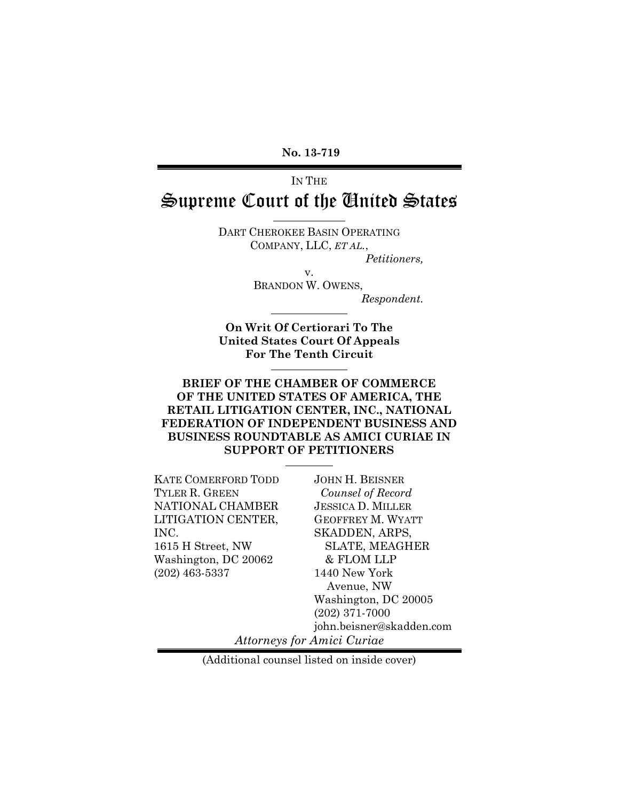**No. 13-719**

IN THE

# Supreme Court of the United States

DART CHEROKEE BASIN OPERATING COMPANY, LLC, *ET AL.*, *Petitioners,*

v.

BRANDON W. OWENS,

*Respondent.*

**On Writ Of Certiorari To The United States Court Of Appeals For The Tenth Circuit**

#### **BRIEF OF THE CHAMBER OF COMMERCE OF THE UNITED STATES OF AMERICA, THE RETAIL LITIGATION CENTER, INC., NATIONAL FEDERATION OF INDEPENDENT BUSINESS AND BUSINESS ROUNDTABLE AS AMICI CURIAE IN SUPPORT OF PETITIONERS**

KATE COMERFORD TODD TYLER R. GREEN NATIONAL CHAMBER LITIGATION CENTER, INC. 1615 H Street, NW Washington, DC 20062 (202) 463-5337

JOHN H. BEISNER *Counsel of Record* JESSICA D. MILLER GEOFFREY M. WYATT SKADDEN, ARPS, SLATE, MEAGHER & FLOM LLP 1440 New York Avenue, NW Washington, DC 20005 (202) 371-7000 john.beisner@skadden.com

*Attorneys for Amici Curiae*

(Additional counsel listed on inside cover)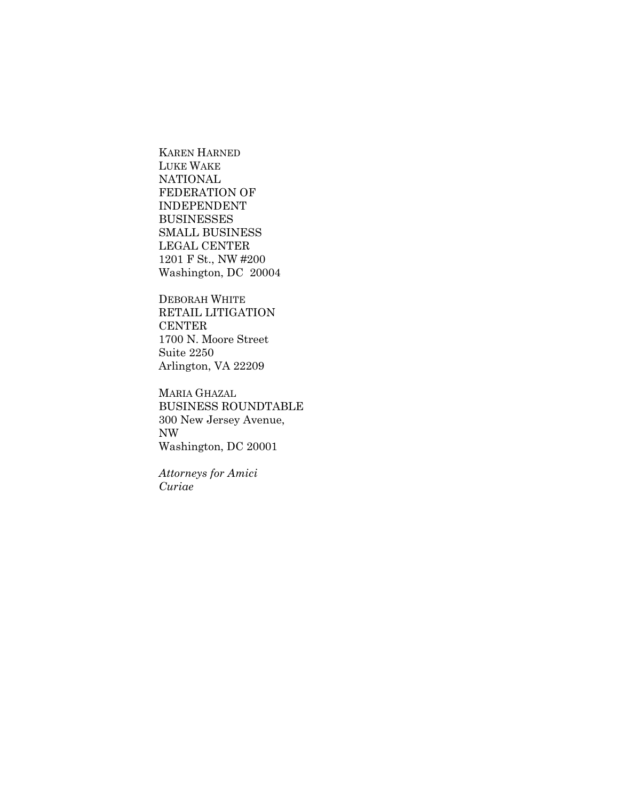KAREN HARNED LUKE WAKE NATIONAL FEDERATION OF INDEPENDENT BUSINESSES SMALL BUSINESS LEGAL CENTER 1201 F St., NW #200 Washington, DC 20004

DEBORAH WHITE RETAIL LITIGATION CENTER 1700 N. Moore Street Suite 2250 Arlington, VA 22209

MARIA GHAZAL BUSINESS ROUNDTABLE 300 New Jersey Avenue, NW Washington, DC 20001

*Attorneys for Amici Curiae*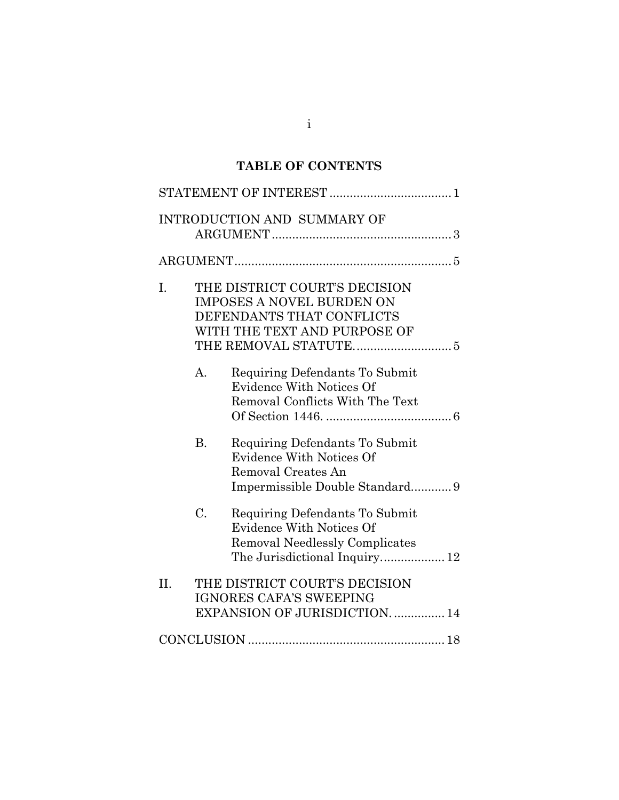# **TABLE OF CONTENTS**

|     |                                                                                                                                | <b>INTRODUCTION AND SUMMARY OF</b>                                                                                                          |  |
|-----|--------------------------------------------------------------------------------------------------------------------------------|---------------------------------------------------------------------------------------------------------------------------------------------|--|
|     |                                                                                                                                |                                                                                                                                             |  |
| Ι.  | THE DISTRICT COURT'S DECISION<br><b>IMPOSES A NOVEL BURDEN ON</b><br>DEFENDANTS THAT CONFLICTS<br>WITH THE TEXT AND PURPOSE OF |                                                                                                                                             |  |
|     | $\mathbf{A}$ .                                                                                                                 | Requiring Defendants To Submit<br><b>Evidence With Notices Of</b><br>Removal Conflicts With The Text                                        |  |
|     | <b>B.</b>                                                                                                                      | Requiring Defendants To Submit<br><b>Evidence With Notices Of</b><br>Removal Creates An<br>Impermissible Double Standard9                   |  |
|     | $\mathcal{C}$ .                                                                                                                | Requiring Defendants To Submit<br><b>Evidence With Notices Of</b><br><b>Removal Needlessly Complicates</b><br>The Jurisdictional Inquiry 12 |  |
| II. |                                                                                                                                | THE DISTRICT COURT'S DECISION<br><b>IGNORES CAFA'S SWEEPING</b><br>EXPANSION OF JURISDICTION.  14                                           |  |
|     |                                                                                                                                |                                                                                                                                             |  |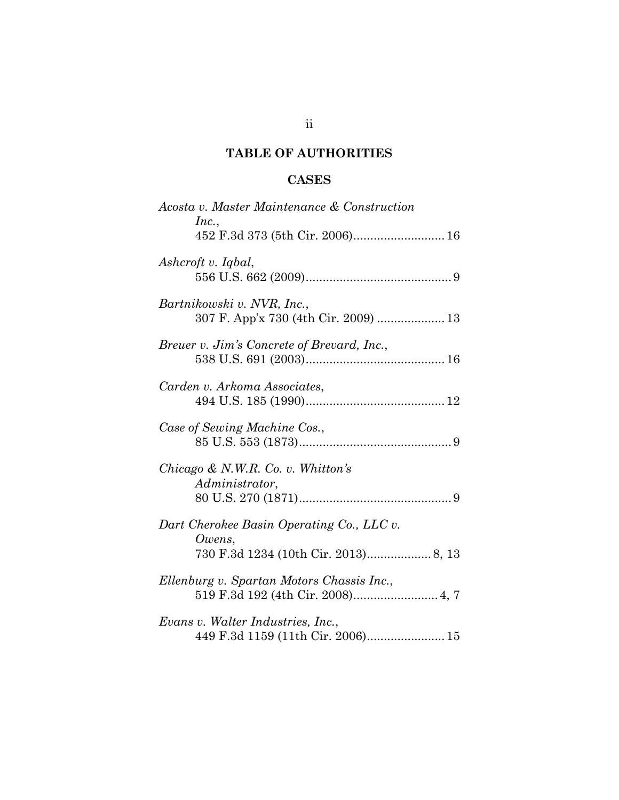## **TABLE OF AUTHORITIES**

## **CASES**

| Acosta v. Master Maintenance & Construction<br>Inc.,                                        |
|---------------------------------------------------------------------------------------------|
| 452 F.3d 373 (5th Cir. 2006) 16                                                             |
| Ashcroft v. Iqbal,                                                                          |
| Bartnikowski v. NVR, Inc.,                                                                  |
| Breuer v. Jim's Concrete of Brevard, Inc.,                                                  |
| Carden v. Arkoma Associates,                                                                |
| Case of Sewing Machine Cos.,                                                                |
| Chicago & N.W.R. Co. v. Whitton's<br>Administrator,                                         |
| Dart Cherokee Basin Operating Co., LLC v.<br>Owens,<br>730 F.3d 1234 (10th Cir. 2013) 8, 13 |
| Ellenburg v. Spartan Motors Chassis Inc.,                                                   |
| Evans v. Walter Industries, Inc.,<br>449 F.3d 1159 (11th Cir. 2006) 15                      |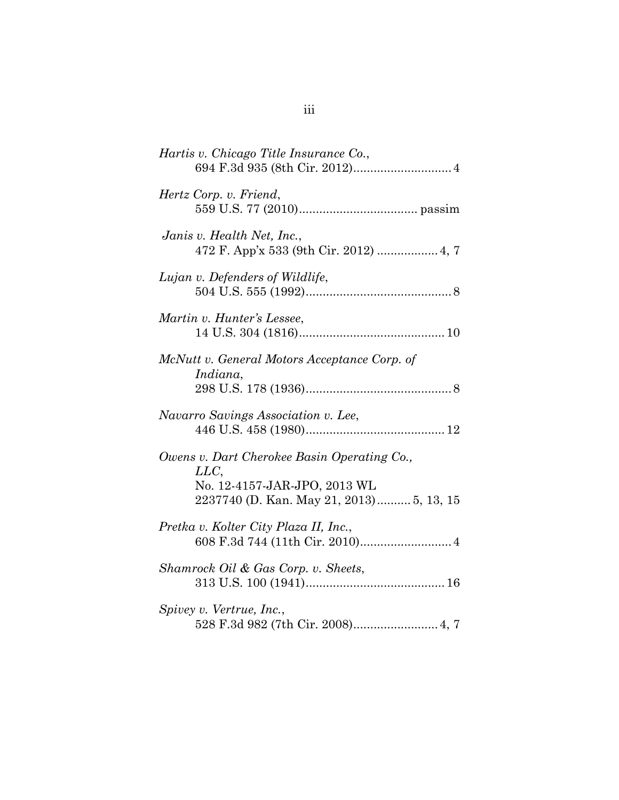| Hartis v. Chicago Title Insurance Co.,                                                                                         |
|--------------------------------------------------------------------------------------------------------------------------------|
| Hertz Corp. v. Friend,                                                                                                         |
| Janis v. Health Net, Inc.,<br>472 F. App'x 533 (9th Cir. 2012)  4, 7                                                           |
| Lujan v. Defenders of Wildlife,                                                                                                |
| Martin v. Hunter's Lessee,                                                                                                     |
| McNutt v. General Motors Acceptance Corp. of<br>Indiana,                                                                       |
| Navarro Savings Association v. Lee,                                                                                            |
| Owens v. Dart Cherokee Basin Operating Co.,<br>LLC<br>No. 12-4157-JAR-JPO, 2013 WL<br>2237740 (D. Kan. May 21, 2013) 5, 13, 15 |
| Pretka v. Kolter City Plaza II, Inc.,<br>608 F.3d 744 (11th Cir. 2010) 4                                                       |
| Shamrock Oil & Gas Corp. v. Sheets,                                                                                            |
| Spivey v. Vertrue, Inc.,<br>528 F.3d 982 (7th Cir. 2008) 4, 7                                                                  |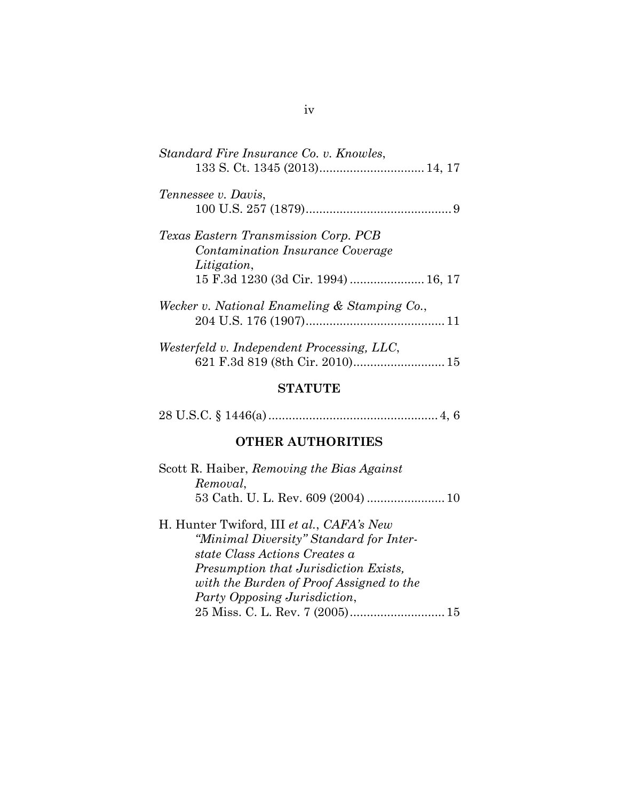#### **STATUTE**

28 U.S.C. § 1446(a)..................................................4, 6

#### **OTHER AUTHORITIES**

| Scott R. Haiber, Removing the Bias Against |  |
|--------------------------------------------|--|
| Removal,                                   |  |
|                                            |  |

H. Hunter Twiford, III *et al.*, *CAFA's New "Minimal Diversity" Standard for Interstate Class Actions Creates a Presumption that Jurisdiction Exists, with the Burden of Proof Assigned to the Party Opposing Jurisdiction*, 25 Miss. C. L. Rev. 7 (2005)............................15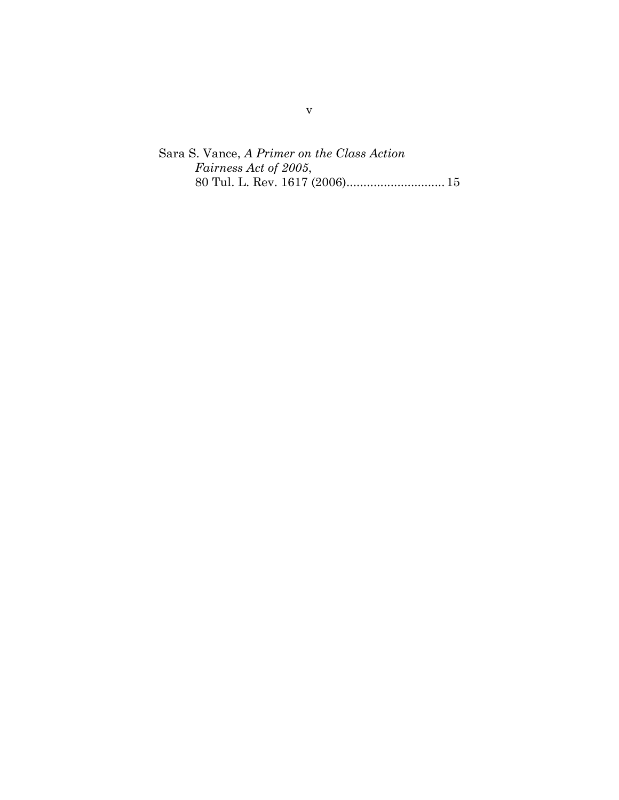Sara S. Vance, *A Primer on the Class Action Fairness Act of 2005*, 80 Tul. L. Rev. 1617 (2006).............................15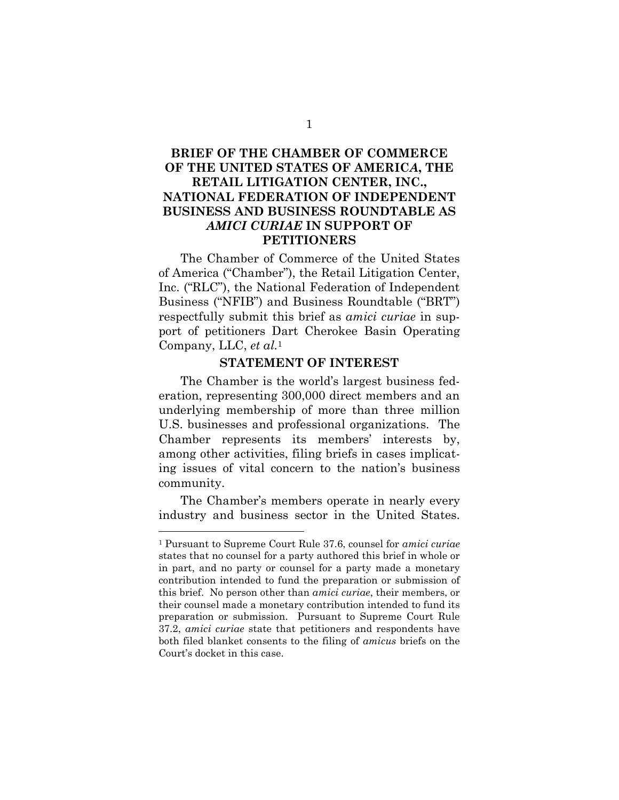### **BRIEF OF THE CHAMBER OF COMMERCE OF THE UNITED STATES OF AMERIC***A***, THE RETAIL LITIGATION CENTER, INC., NATIONAL FEDERATION OF INDEPENDENT BUSINESS AND BUSINESS ROUNDTABLE AS** *AMICI CURIAE* **IN SUPPORT OF PETITIONERS**

The Chamber of Commerce of the United States of America ("Chamber"), the Retail Litigation Center, Inc. ("RLC"), the National Federation of Independent Business ("NFIB") and Business Roundtable ("BRT") respectfully submit this brief as *amici curiae* in support of petitioners Dart Cherokee Basin Operating Company, LLC, *et al.*<sup>1</sup>

#### **STATEMENT OF INTEREST**

The Chamber is the world's largest business federation, representing 300,000 direct members and an underlying membership of more than three million U.S. businesses and professional organizations. The Chamber represents its members' interests by, among other activities, filing briefs in cases implicating issues of vital concern to the nation's business community.

The Chamber's members operate in nearly every industry and business sector in the United States.

<sup>1</sup> Pursuant to Supreme Court Rule 37.6, counsel for *amici curiae* states that no counsel for a party authored this brief in whole or in part, and no party or counsel for a party made a monetary contribution intended to fund the preparation or submission of this brief. No person other than *amici curiae*, their members, or their counsel made a monetary contribution intended to fund its preparation or submission. Pursuant to Supreme Court Rule 37.2, *amici curiae* state that petitioners and respondents have both filed blanket consents to the filing of *amicus* briefs on the Court's docket in this case.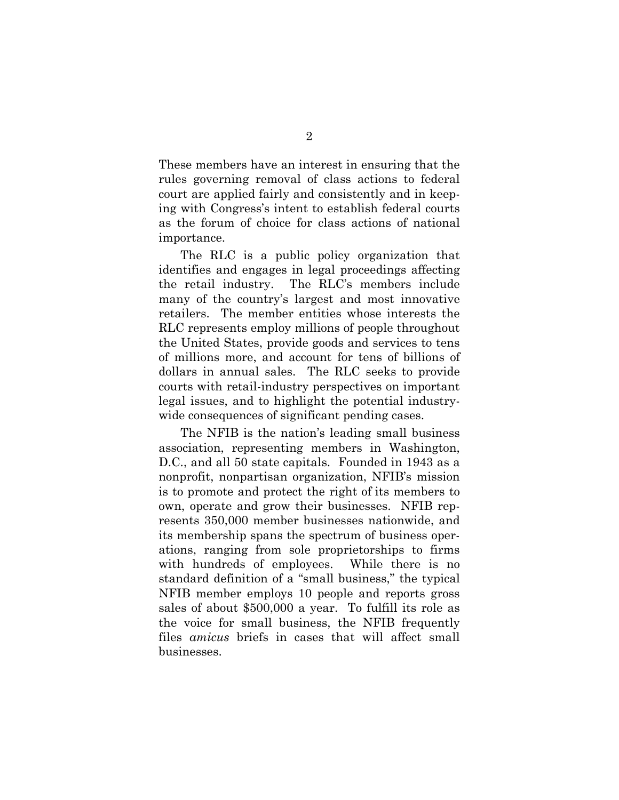These members have an interest in ensuring that the rules governing removal of class actions to federal court are applied fairly and consistently and in keeping with Congress's intent to establish federal courts as the forum of choice for class actions of national importance.

The RLC is a public policy organization that identifies and engages in legal proceedings affecting the retail industry. The RLC's members include many of the country's largest and most innovative retailers. The member entities whose interests the RLC represents employ millions of people throughout the United States, provide goods and services to tens of millions more, and account for tens of billions of dollars in annual sales. The RLC seeks to provide courts with retail-industry perspectives on important legal issues, and to highlight the potential industrywide consequences of significant pending cases.

The NFIB is the nation's leading small business association, representing members in Washington, D.C., and all 50 state capitals. Founded in 1943 as a nonprofit, nonpartisan organization, NFIB's mission is to promote and protect the right of its members to own, operate and grow their businesses. NFIB represents 350,000 member businesses nationwide, and its membership spans the spectrum of business operations, ranging from sole proprietorships to firms with hundreds of employees. While there is no standard definition of a "small business," the typical NFIB member employs 10 people and reports gross sales of about \$500,000 a year. To fulfill its role as the voice for small business, the NFIB frequently files *amicus* briefs in cases that will affect small businesses.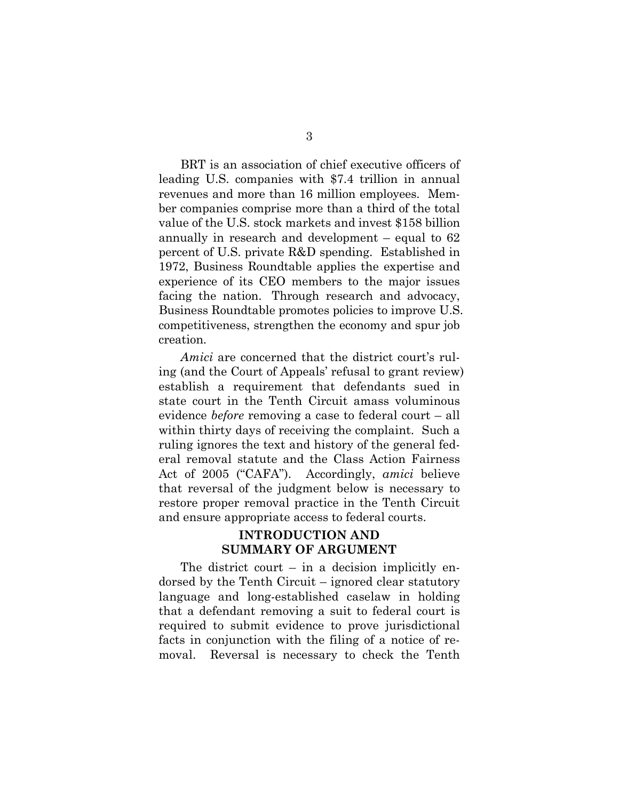BRT is an association of chief executive officers of leading U.S. companies with \$7.4 trillion in annual revenues and more than 16 million employees. Member companies comprise more than a third of the total value of the U.S. stock markets and invest \$158 billion annually in research and development – equal to 62 percent of U.S. private R&D spending. Established in 1972, Business Roundtable applies the expertise and experience of its CEO members to the major issues facing the nation. Through research and advocacy, Business Roundtable promotes policies to improve U.S. competitiveness, strengthen the economy and spur job creation.

*Amici* are concerned that the district court's ruling (and the Court of Appeals' refusal to grant review) establish a requirement that defendants sued in state court in the Tenth Circuit amass voluminous evidence *before* removing a case to federal court – all within thirty days of receiving the complaint. Such a ruling ignores the text and history of the general federal removal statute and the Class Action Fairness Act of 2005 ("CAFA"). Accordingly, *amici* believe that reversal of the judgment below is necessary to restore proper removal practice in the Tenth Circuit and ensure appropriate access to federal courts.

#### **INTRODUCTION AND SUMMARY OF ARGUMENT**

The district court – in a decision implicitly endorsed by the Tenth Circuit – ignored clear statutory language and long-established caselaw in holding that a defendant removing a suit to federal court is required to submit evidence to prove jurisdictional facts in conjunction with the filing of a notice of removal. Reversal is necessary to check the Tenth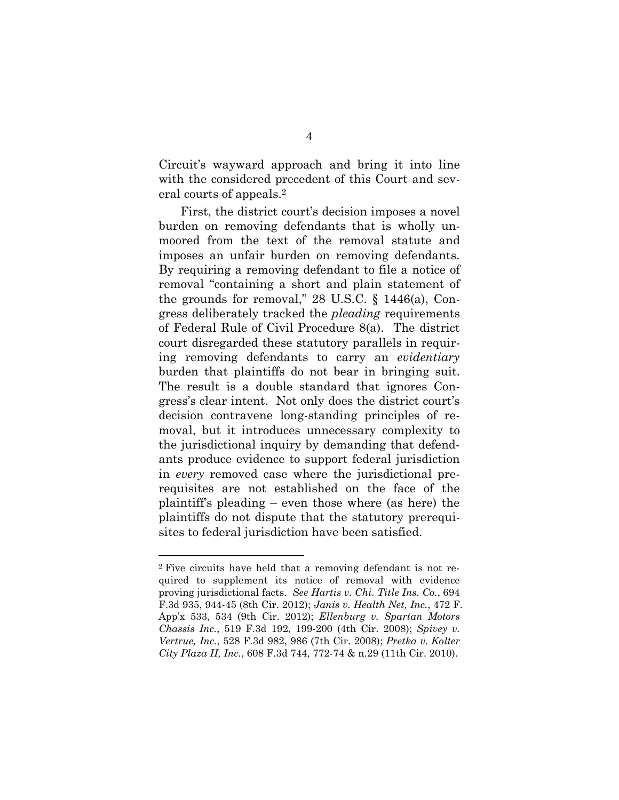Circuit's wayward approach and bring it into line with the considered precedent of this Court and several courts of appeals.<sup>2</sup>

First, the district court's decision imposes a novel burden on removing defendants that is wholly unmoored from the text of the removal statute and imposes an unfair burden on removing defendants. By requiring a removing defendant to file a notice of removal "containing a short and plain statement of the grounds for removal,"  $28$  U.S.C.  $\S$  1446(a), Congress deliberately tracked the *pleading* requirements of Federal Rule of Civil Procedure 8(a). The district court disregarded these statutory parallels in requiring removing defendants to carry an *evidentiary* burden that plaintiffs do not bear in bringing suit. The result is a double standard that ignores Congress's clear intent. Not only does the district court's decision contravene long-standing principles of removal, but it introduces unnecessary complexity to the jurisdictional inquiry by demanding that defendants produce evidence to support federal jurisdiction in *every* removed case where the jurisdictional prerequisites are not established on the face of the plaintiff's pleading – even those where (as here) the plaintiffs do not dispute that the statutory prerequisites to federal jurisdiction have been satisfied.

<sup>2</sup> Five circuits have held that a removing defendant is not required to supplement its notice of removal with evidence proving jurisdictional facts. *See Hartis v. Chi. Title Ins. Co.*, 694 F.3d 935, 944-45 (8th Cir. 2012); *Janis v. Health Net, Inc.*, 472 F. App'x 533, 534 (9th Cir. 2012); *Ellenburg v. Spartan Motors Chassis Inc.*, 519 F.3d 192, 199-200 (4th Cir. 2008); *Spivey v. Vertrue, Inc.*, 528 F.3d 982, 986 (7th Cir. 2008); *Pretka v. Kolter City Plaza II, Inc.*, 608 F.3d 744, 772-74 & n.29 (11th Cir. 2010).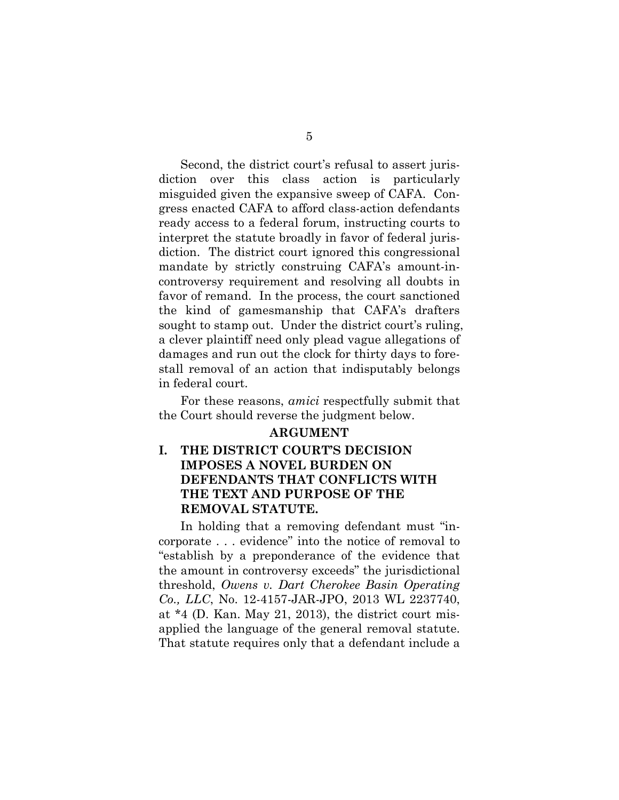Second, the district court's refusal to assert jurisdiction over this class action is particularly misguided given the expansive sweep of CAFA. Congress enacted CAFA to afford class-action defendants ready access to a federal forum, instructing courts to interpret the statute broadly in favor of federal jurisdiction. The district court ignored this congressional mandate by strictly construing CAFA's amount-incontroversy requirement and resolving all doubts in favor of remand. In the process, the court sanctioned the kind of gamesmanship that CAFA's drafters sought to stamp out. Under the district court's ruling, a clever plaintiff need only plead vague allegations of damages and run out the clock for thirty days to forestall removal of an action that indisputably belongs in federal court.

For these reasons, *amici* respectfully submit that the Court should reverse the judgment below.

#### **ARGUMENT**

## **I. THE DISTRICT COURT'S DECISION IMPOSES A NOVEL BURDEN ON DEFENDANTS THAT CONFLICTS WITH THE TEXT AND PURPOSE OF THE REMOVAL STATUTE.**

In holding that a removing defendant must "incorporate . . . evidence" into the notice of removal to "establish by a preponderance of the evidence that the amount in controversy exceeds" the jurisdictional threshold, *Owens v. Dart Cherokee Basin Operating Co., LLC*, No. 12-4157-JAR-JPO, 2013 WL 2237740, at \*4 (D. Kan. May 21, 2013), the district court misapplied the language of the general removal statute. That statute requires only that a defendant include a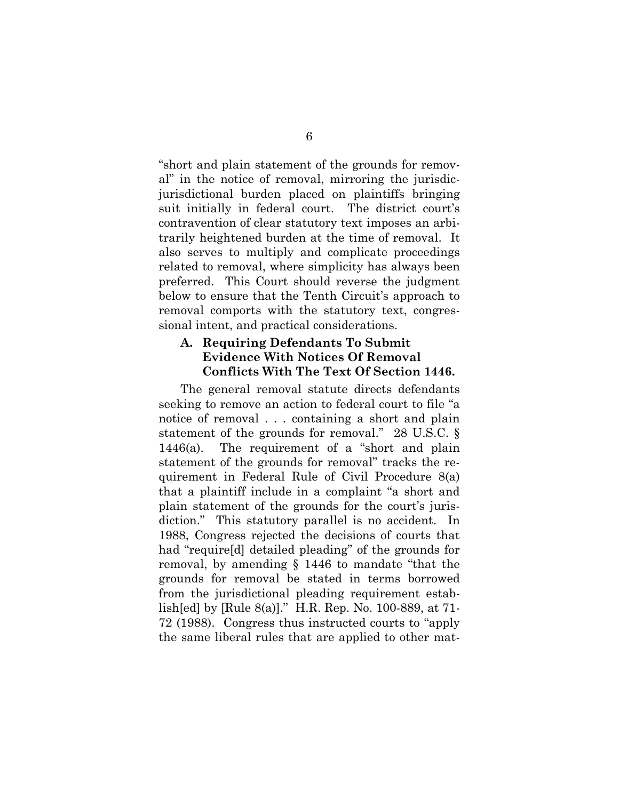"short and plain statement of the grounds for removal" in the notice of removal, mirroring the jurisdicjurisdictional burden placed on plaintiffs bringing suit initially in federal court. The district court's contravention of clear statutory text imposes an arbitrarily heightened burden at the time of removal. It also serves to multiply and complicate proceedings related to removal, where simplicity has always been preferred. This Court should reverse the judgment below to ensure that the Tenth Circuit's approach to removal comports with the statutory text, congressional intent, and practical considerations.

#### **A. Requiring Defendants To Submit Evidence With Notices Of Removal Conflicts With The Text Of Section 1446.**

The general removal statute directs defendants seeking to remove an action to federal court to file "a notice of removal . . . containing a short and plain statement of the grounds for removal." 28 U.S.C. § 1446(a). The requirement of a "short and plain statement of the grounds for removal" tracks the requirement in Federal Rule of Civil Procedure 8(a) that a plaintiff include in a complaint "a short and plain statement of the grounds for the court's jurisdiction." This statutory parallel is no accident. In 1988, Congress rejected the decisions of courts that had "require[d] detailed pleading" of the grounds for removal, by amending § 1446 to mandate "that the grounds for removal be stated in terms borrowed from the jurisdictional pleading requirement establish[ed] by [Rule 8(a)]." H.R. Rep. No. 100-889, at 71- 72 (1988). Congress thus instructed courts to "apply the same liberal rules that are applied to other mat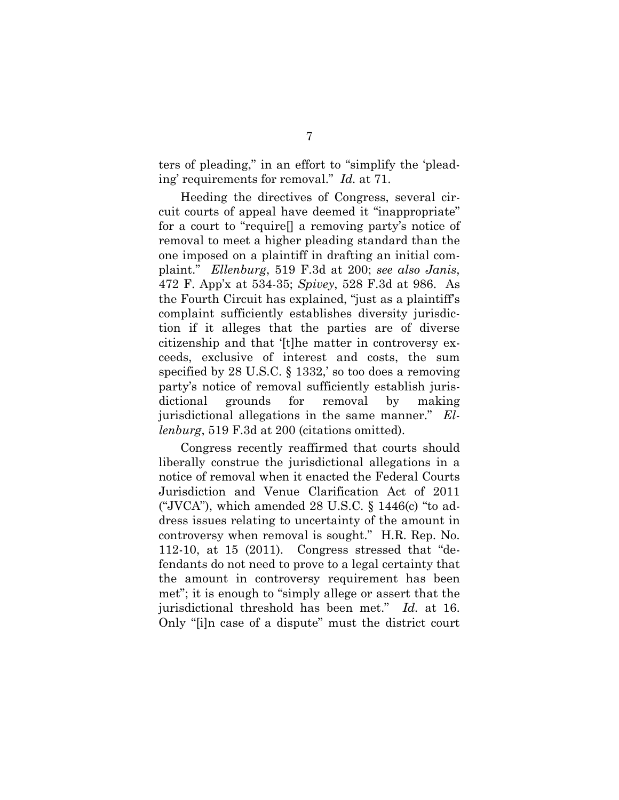ters of pleading," in an effort to "simplify the 'pleading' requirements for removal." *Id.* at 71.

Heeding the directives of Congress, several circuit courts of appeal have deemed it "inappropriate" for a court to "require[] a removing party's notice of removal to meet a higher pleading standard than the one imposed on a plaintiff in drafting an initial complaint." *Ellenburg*, 519 F.3d at 200; *see also Janis*, 472 F. App'x at 534-35; *Spivey*, 528 F.3d at 986. As the Fourth Circuit has explained, "just as a plaintiff's complaint sufficiently establishes diversity jurisdiction if it alleges that the parties are of diverse citizenship and that '[t]he matter in controversy exceeds, exclusive of interest and costs, the sum specified by 28 U.S.C. § 1332,' so too does a removing party's notice of removal sufficiently establish jurisdictional grounds for removal by making jurisdictional allegations in the same manner." *Ellenburg*, 519 F.3d at 200 (citations omitted).

Congress recently reaffirmed that courts should liberally construe the jurisdictional allegations in a notice of removal when it enacted the Federal Courts Jurisdiction and Venue Clarification Act of 2011 ("JVCA"), which amended  $28$  U.S.C.  $\frac{1446(c)}{c}$  to address issues relating to uncertainty of the amount in controversy when removal is sought." H.R. Rep. No. 112-10, at 15 (2011). Congress stressed that "defendants do not need to prove to a legal certainty that the amount in controversy requirement has been met"; it is enough to "simply allege or assert that the jurisdictional threshold has been met." *Id.* at 16. Only "[i]n case of a dispute" must the district court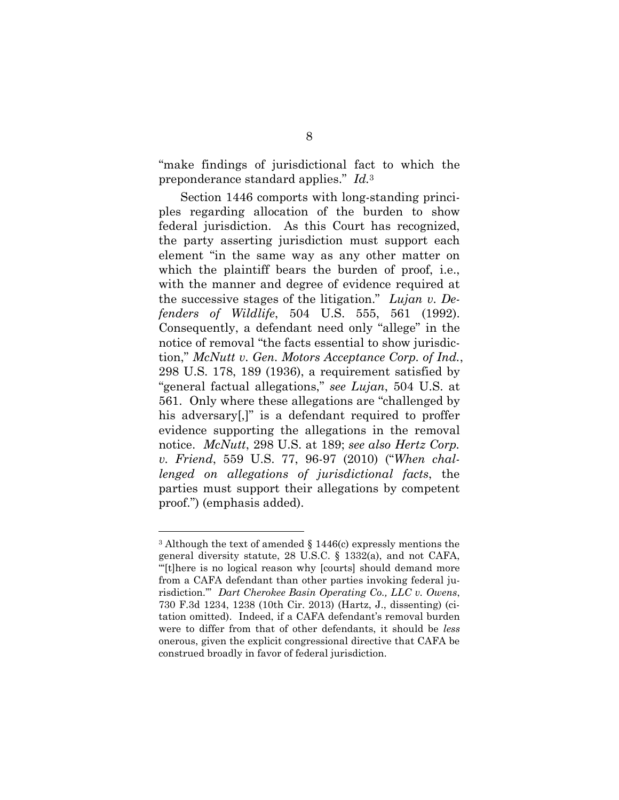"make findings of jurisdictional fact to which the preponderance standard applies." *Id.*<sup>3</sup>

Section 1446 comports with long-standing principles regarding allocation of the burden to show federal jurisdiction. As this Court has recognized, the party asserting jurisdiction must support each element "in the same way as any other matter on which the plaintiff bears the burden of proof, i.e., with the manner and degree of evidence required at the successive stages of the litigation." *Lujan v. Defenders of Wildlife*, 504 U.S. 555, 561 (1992). Consequently, a defendant need only "allege" in the notice of removal "the facts essential to show jurisdiction," *McNutt v. Gen. Motors Acceptance Corp. of Ind.*, 298 U.S. 178, 189 (1936), a requirement satisfied by "general factual allegations," *see Lujan*, 504 U.S. at 561. Only where these allegations are "challenged by his adversary[,]" is a defendant required to proffer evidence supporting the allegations in the removal notice. *McNutt*, 298 U.S. at 189; *see also Hertz Corp. v. Friend*, 559 U.S. 77, 96-97 (2010) ("*When challenged on allegations of jurisdictional facts*, the parties must support their allegations by competent proof.") (emphasis added).

<sup>&</sup>lt;sup>3</sup> Although the text of amended  $\S$  1446(c) expressly mentions the general diversity statute, 28 U.S.C. § 1332(a), and not CAFA, "'[t]here is no logical reason why [courts] should demand more from a CAFA defendant than other parties invoking federal jurisdiction.'" *Dart Cherokee Basin Operating Co., LLC v. Owens*, 730 F.3d 1234, 1238 (10th Cir. 2013) (Hartz, J., dissenting) (citation omitted). Indeed, if a CAFA defendant's removal burden were to differ from that of other defendants, it should be *less* onerous, given the explicit congressional directive that CAFA be construed broadly in favor of federal jurisdiction.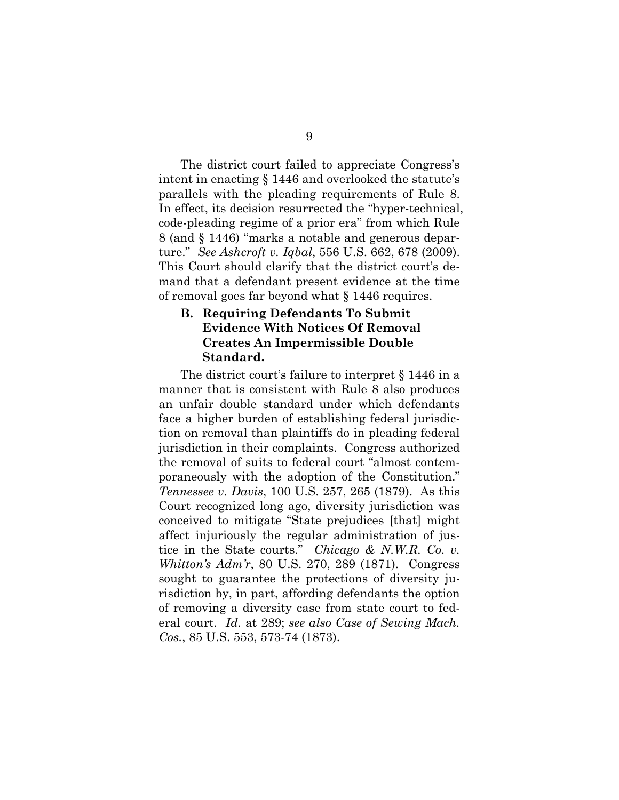The district court failed to appreciate Congress's intent in enacting § 1446 and overlooked the statute's parallels with the pleading requirements of Rule 8. In effect, its decision resurrected the "hyper-technical, code-pleading regime of a prior era" from which Rule 8 (and § 1446) "marks a notable and generous departure." *See Ashcroft v. Iqbal*, 556 U.S. 662, 678 (2009). This Court should clarify that the district court's demand that a defendant present evidence at the time of removal goes far beyond what § 1446 requires.

#### **B. Requiring Defendants To Submit Evidence With Notices Of Removal Creates An Impermissible Double Standard.**

The district court's failure to interpret § 1446 in a manner that is consistent with Rule 8 also produces an unfair double standard under which defendants face a higher burden of establishing federal jurisdiction on removal than plaintiffs do in pleading federal jurisdiction in their complaints. Congress authorized the removal of suits to federal court "almost contemporaneously with the adoption of the Constitution." *Tennessee v. Davis*, 100 U.S. 257, 265 (1879). As this Court recognized long ago, diversity jurisdiction was conceived to mitigate "State prejudices [that] might affect injuriously the regular administration of justice in the State courts." *Chicago & N.W.R. Co. v. Whitton's Adm'r*, 80 U.S. 270, 289 (1871). Congress sought to guarantee the protections of diversity jurisdiction by, in part, affording defendants the option of removing a diversity case from state court to federal court. *Id.* at 289; *see also Case of Sewing Mach. Cos.*, 85 U.S. 553, 573-74 (1873).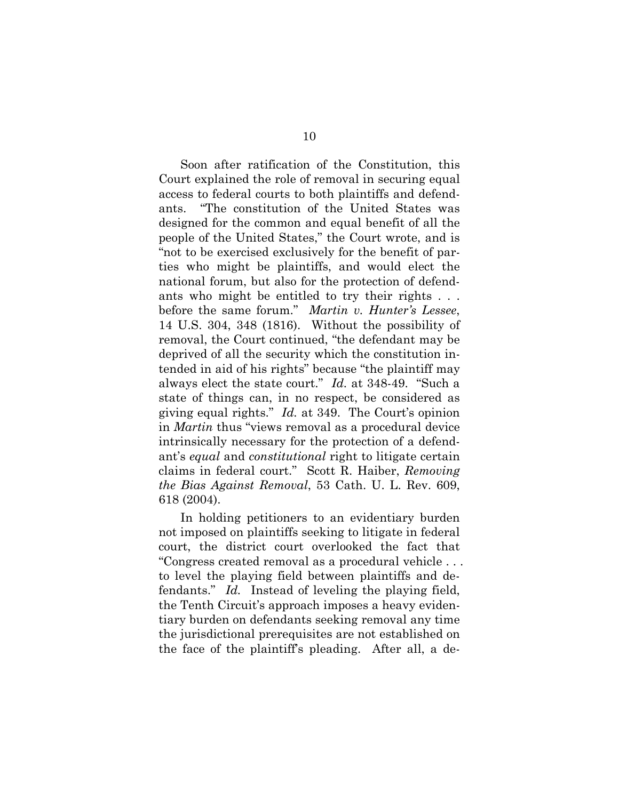Soon after ratification of the Constitution, this Court explained the role of removal in securing equal access to federal courts to both plaintiffs and defendants. "The constitution of the United States was designed for the common and equal benefit of all the people of the United States," the Court wrote, and is "not to be exercised exclusively for the benefit of parties who might be plaintiffs, and would elect the national forum, but also for the protection of defendants who might be entitled to try their rights . . . before the same forum." *Martin v. Hunter's Lessee*, 14 U.S. 304, 348 (1816). Without the possibility of removal, the Court continued, "the defendant may be deprived of all the security which the constitution intended in aid of his rights" because "the plaintiff may always elect the state court." *Id.* at 348-49. "Such a state of things can, in no respect, be considered as giving equal rights." *Id.* at 349. The Court's opinion in *Martin* thus "views removal as a procedural device intrinsically necessary for the protection of a defendant's *equal* and *constitutional* right to litigate certain claims in federal court." Scott R. Haiber, *Removing the Bias Against Removal*, 53 Cath. U. L. Rev. 609, 618 (2004).

In holding petitioners to an evidentiary burden not imposed on plaintiffs seeking to litigate in federal court, the district court overlooked the fact that "Congress created removal as a procedural vehicle . . . to level the playing field between plaintiffs and defendants." *Id.* Instead of leveling the playing field, the Tenth Circuit's approach imposes a heavy evidentiary burden on defendants seeking removal any time the jurisdictional prerequisites are not established on the face of the plaintiff's pleading. After all, a de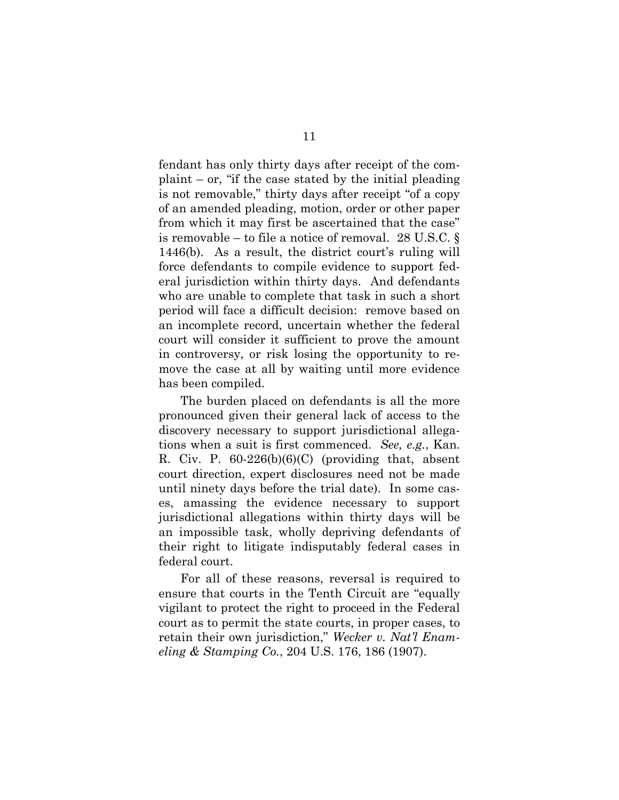fendant has only thirty days after receipt of the com $plaint - or, "if the case stated by the initial placing$ is not removable," thirty days after receipt "of a copy of an amended pleading, motion, order or other paper from which it may first be ascertained that the case" is removable – to file a notice of removal. 28 U.S.C. § 1446(b). As a result, the district court's ruling will force defendants to compile evidence to support federal jurisdiction within thirty days. And defendants who are unable to complete that task in such a short period will face a difficult decision: remove based on an incomplete record, uncertain whether the federal court will consider it sufficient to prove the amount in controversy, or risk losing the opportunity to remove the case at all by waiting until more evidence has been compiled.

The burden placed on defendants is all the more pronounced given their general lack of access to the discovery necessary to support jurisdictional allegations when a suit is first commenced. *See, e.g.*, Kan. R. Civ. P. 60-226(b)(6)(C) (providing that, absent court direction, expert disclosures need not be made until ninety days before the trial date). In some cases, amassing the evidence necessary to support jurisdictional allegations within thirty days will be an impossible task, wholly depriving defendants of their right to litigate indisputably federal cases in federal court.

For all of these reasons, reversal is required to ensure that courts in the Tenth Circuit are "equally vigilant to protect the right to proceed in the Federal court as to permit the state courts, in proper cases, to retain their own jurisdiction," *Wecker v. Nat'l Enameling & Stamping Co.*, 204 U.S. 176, 186 (1907).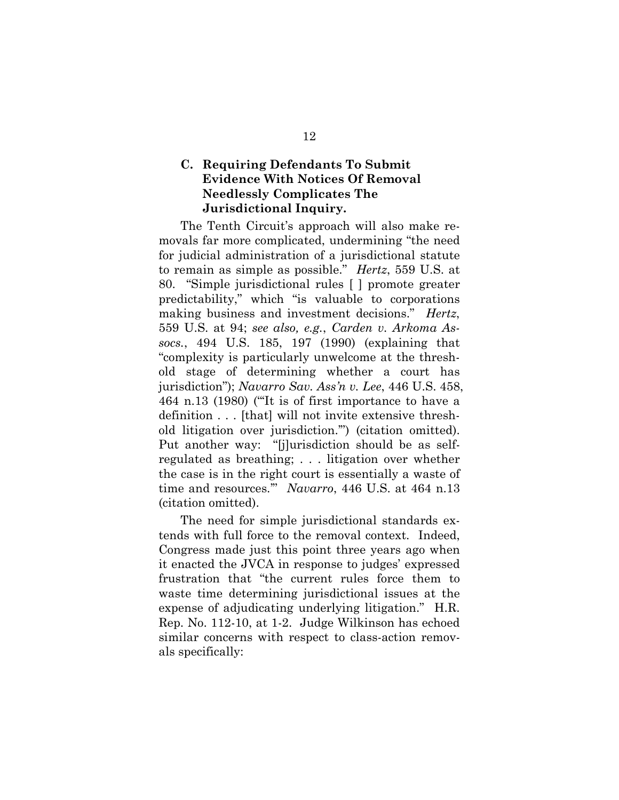### **C. Requiring Defendants To Submit Evidence With Notices Of Removal Needlessly Complicates The Jurisdictional Inquiry.**

The Tenth Circuit's approach will also make removals far more complicated, undermining "the need for judicial administration of a jurisdictional statute to remain as simple as possible." *Hertz*, 559 U.S. at 80. "Simple jurisdictional rules [ ] promote greater predictability," which "is valuable to corporations making business and investment decisions." *Hertz*, 559 U.S. at 94; *see also, e.g.*, *Carden v. Arkoma Assocs.*, 494 U.S. 185, 197 (1990) (explaining that "complexity is particularly unwelcome at the threshold stage of determining whether a court has jurisdiction"); *Navarro Sav. Ass'n v. Lee*, 446 U.S. 458, 464 n.13 (1980) ("'It is of first importance to have a definition . . . [that] will not invite extensive threshold litigation over jurisdiction.'") (citation omitted). Put another way: "[j]urisdiction should be as selfregulated as breathing; . . . litigation over whether the case is in the right court is essentially a waste of time and resources.'" *Navarro*, 446 U.S. at 464 n.13 (citation omitted).

The need for simple jurisdictional standards extends with full force to the removal context. Indeed, Congress made just this point three years ago when it enacted the JVCA in response to judges' expressed frustration that "the current rules force them to waste time determining jurisdictional issues at the expense of adjudicating underlying litigation." H.R. Rep. No. 112-10, at 1-2. Judge Wilkinson has echoed similar concerns with respect to class-action removals specifically: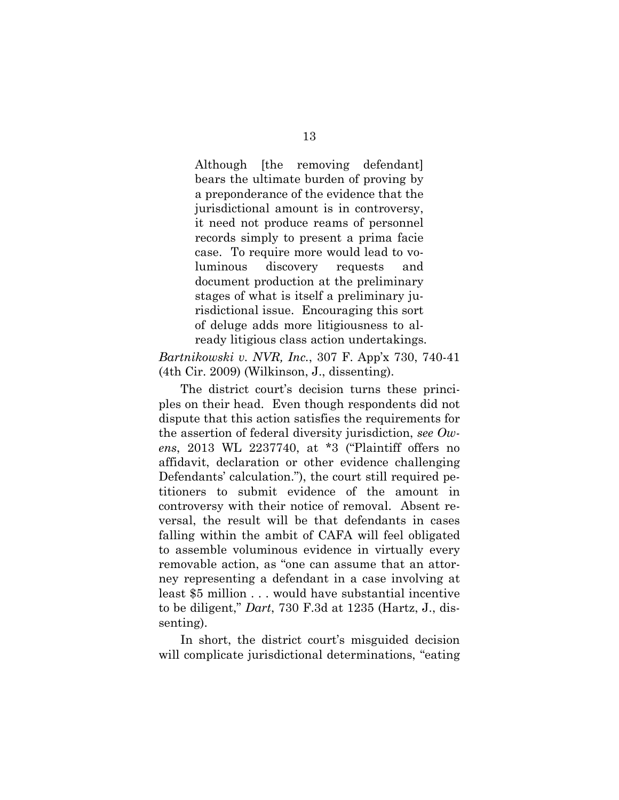Although [the removing defendant] bears the ultimate burden of proving by a preponderance of the evidence that the jurisdictional amount is in controversy, it need not produce reams of personnel records simply to present a prima facie case. To require more would lead to voluminous discovery requests and document production at the preliminary stages of what is itself a preliminary jurisdictional issue. Encouraging this sort of deluge adds more litigiousness to already litigious class action undertakings.

*Bartnikowski v. NVR, Inc.*, 307 F. App'x 730, 740-41 (4th Cir. 2009) (Wilkinson, J., dissenting).

The district court's decision turns these principles on their head. Even though respondents did not dispute that this action satisfies the requirements for the assertion of federal diversity jurisdiction, *see Owens*, 2013 WL 2237740, at \*3 ("Plaintiff offers no affidavit, declaration or other evidence challenging Defendants' calculation."), the court still required petitioners to submit evidence of the amount in controversy with their notice of removal. Absent reversal, the result will be that defendants in cases falling within the ambit of CAFA will feel obligated to assemble voluminous evidence in virtually every removable action, as "one can assume that an attorney representing a defendant in a case involving at least \$5 million . . . would have substantial incentive to be diligent," *Dart*, 730 F.3d at 1235 (Hartz, J., dissenting).

In short, the district court's misguided decision will complicate jurisdictional determinations, "eating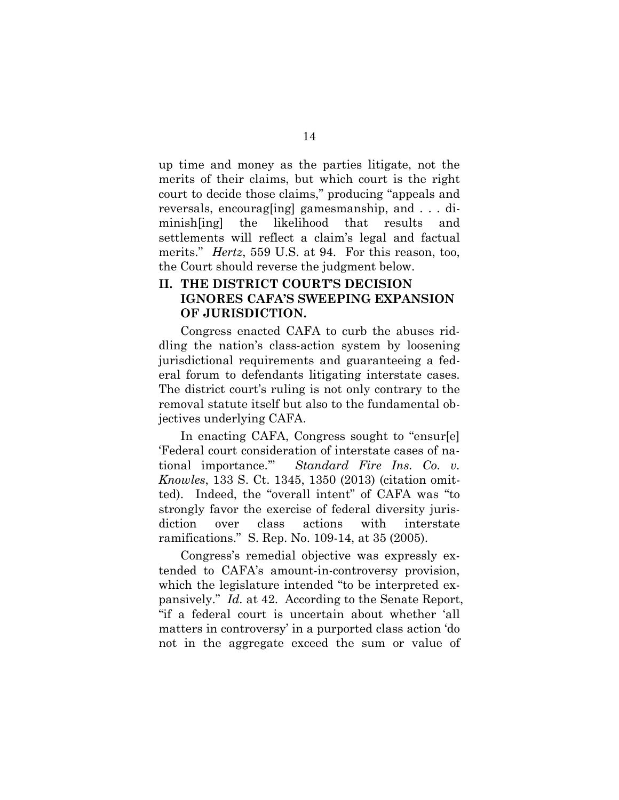up time and money as the parties litigate, not the merits of their claims, but which court is the right court to decide those claims," producing "appeals and reversals, encourag[ing] gamesmanship, and . . . diminish[ing] the likelihood that results and settlements will reflect a claim's legal and factual merits." *Hertz*, 559 U.S. at 94. For this reason, too, the Court should reverse the judgment below.

#### **II. THE DISTRICT COURT'S DECISION IGNORES CAFA'S SWEEPING EXPANSION OF JURISDICTION.**

Congress enacted CAFA to curb the abuses riddling the nation's class-action system by loosening jurisdictional requirements and guaranteeing a federal forum to defendants litigating interstate cases. The district court's ruling is not only contrary to the removal statute itself but also to the fundamental objectives underlying CAFA.

In enacting CAFA, Congress sought to "ensur[e] 'Federal court consideration of interstate cases of national importance.'" *Standard Fire Ins. Co. v. Knowles*, 133 S. Ct. 1345, 1350 (2013) (citation omitted). Indeed, the "overall intent" of CAFA was "to strongly favor the exercise of federal diversity jurisdiction over class actions with interstate ramifications." S. Rep. No. 109-14, at 35 (2005).

Congress's remedial objective was expressly extended to CAFA's amount-in-controversy provision, which the legislature intended "to be interpreted expansively." *Id.* at 42. According to the Senate Report, "if a federal court is uncertain about whether 'all matters in controversy' in a purported class action 'do not in the aggregate exceed the sum or value of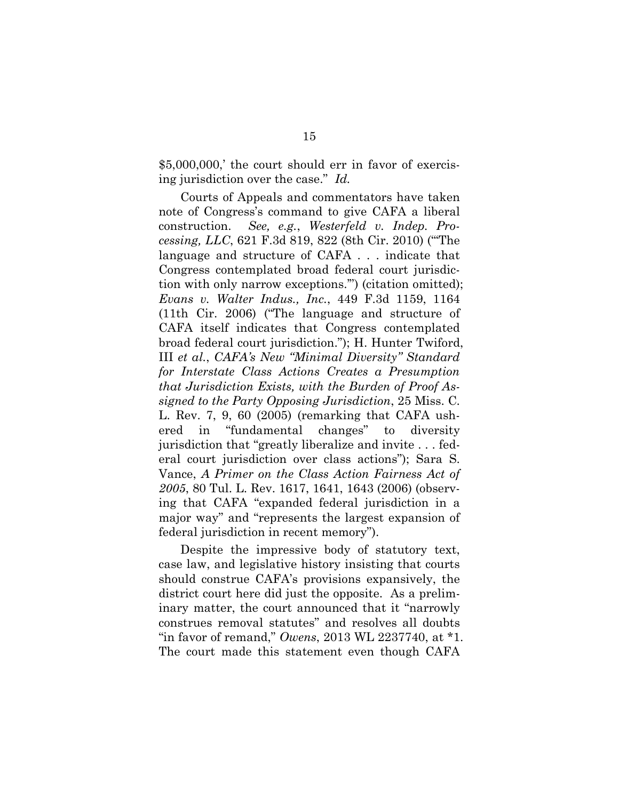\$5,000,000,' the court should err in favor of exercising jurisdiction over the case." *Id.*

Courts of Appeals and commentators have taken note of Congress's command to give CAFA a liberal construction. *See, e.g.*, *Westerfeld v. Indep. Processing, LLC*, 621 F.3d 819, 822 (8th Cir. 2010) ("'The language and structure of CAFA . . . indicate that Congress contemplated broad federal court jurisdiction with only narrow exceptions.'") (citation omitted); *Evans v. Walter Indus., Inc.*, 449 F.3d 1159, 1164 (11th Cir. 2006) ("The language and structure of CAFA itself indicates that Congress contemplated broad federal court jurisdiction."); H. Hunter Twiford, III *et al.*, *CAFA's New "Minimal Diversity" Standard for Interstate Class Actions Creates a Presumption that Jurisdiction Exists, with the Burden of Proof Assigned to the Party Opposing Jurisdiction*, 25 Miss. C. L. Rev. 7, 9, 60 (2005) (remarking that CAFA ushered in "fundamental changes" to diversity jurisdiction that "greatly liberalize and invite . . . federal court jurisdiction over class actions"); Sara S. Vance, *A Primer on the Class Action Fairness Act of 2005*, 80 Tul. L. Rev. 1617, 1641, 1643 (2006) (observing that CAFA "expanded federal jurisdiction in a major way" and "represents the largest expansion of federal jurisdiction in recent memory").

Despite the impressive body of statutory text, case law, and legislative history insisting that courts should construe CAFA's provisions expansively, the district court here did just the opposite. As a preliminary matter, the court announced that it "narrowly construes removal statutes" and resolves all doubts "in favor of remand," *Owens*, 2013 WL 2237740, at \*1. The court made this statement even though CAFA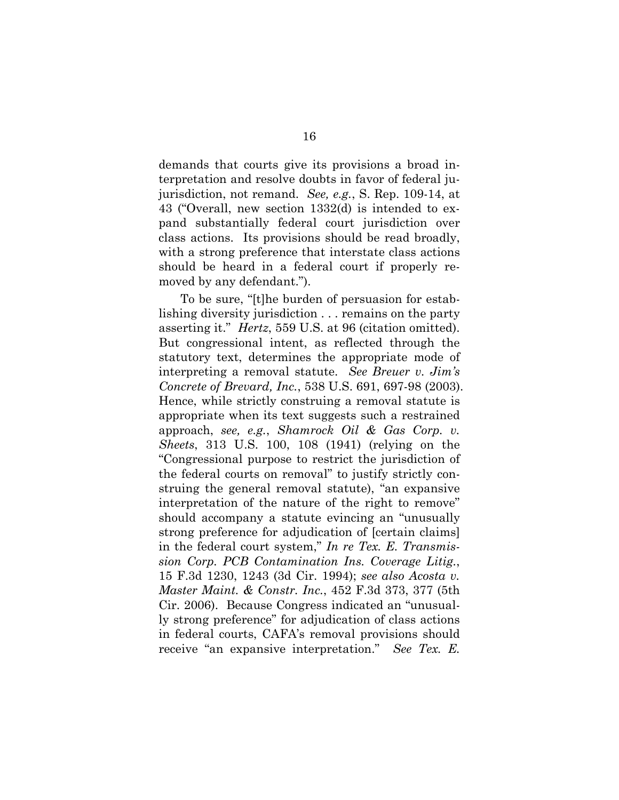demands that courts give its provisions a broad interpretation and resolve doubts in favor of federal jujurisdiction, not remand. *See, e.g.*, S. Rep. 109-14, at 43 ("Overall, new section 1332(d) is intended to expand substantially federal court jurisdiction over class actions. Its provisions should be read broadly, with a strong preference that interstate class actions should be heard in a federal court if properly removed by any defendant.").

To be sure, "[t]he burden of persuasion for establishing diversity jurisdiction . . . remains on the party asserting it." *Hertz*, 559 U.S. at 96 (citation omitted). But congressional intent, as reflected through the statutory text, determines the appropriate mode of interpreting a removal statute. *See Breuer v. Jim's Concrete of Brevard, Inc.*, 538 U.S. 691, 697-98 (2003). Hence, while strictly construing a removal statute is appropriate when its text suggests such a restrained approach, *see, e.g.*, *Shamrock Oil & Gas Corp. v. Sheets*, 313 U.S. 100, 108 (1941) (relying on the "Congressional purpose to restrict the jurisdiction of the federal courts on removal" to justify strictly construing the general removal statute), "an expansive interpretation of the nature of the right to remove" should accompany a statute evincing an "unusually strong preference for adjudication of [certain claims] in the federal court system," *In re Tex. E. Transmission Corp. PCB Contamination Ins. Coverage Litig.*, 15 F.3d 1230, 1243 (3d Cir. 1994); *see also Acosta v. Master Maint. & Constr. Inc.*, 452 F.3d 373, 377 (5th Cir. 2006). Because Congress indicated an "unusually strong preference" for adjudication of class actions in federal courts, CAFA's removal provisions should receive "an expansive interpretation." *See Tex. E.*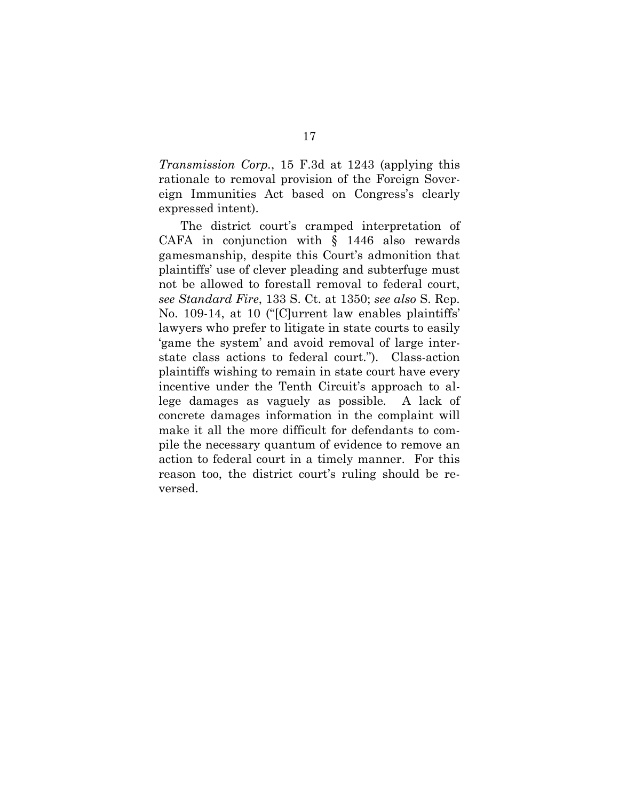*Transmission Corp.*, 15 F.3d at 1243 (applying this rationale to removal provision of the Foreign Sovereign Immunities Act based on Congress's clearly expressed intent).

The district court's cramped interpretation of CAFA in conjunction with § 1446 also rewards gamesmanship, despite this Court's admonition that plaintiffs' use of clever pleading and subterfuge must not be allowed to forestall removal to federal court, *see Standard Fire*, 133 S. Ct. at 1350; *see also* S. Rep. No. 109-14, at 10 ("[C]urrent law enables plaintiffs' lawyers who prefer to litigate in state courts to easily 'game the system' and avoid removal of large interstate class actions to federal court."). Class-action plaintiffs wishing to remain in state court have every incentive under the Tenth Circuit's approach to allege damages as vaguely as possible. A lack of concrete damages information in the complaint will make it all the more difficult for defendants to compile the necessary quantum of evidence to remove an action to federal court in a timely manner. For this reason too, the district court's ruling should be reversed.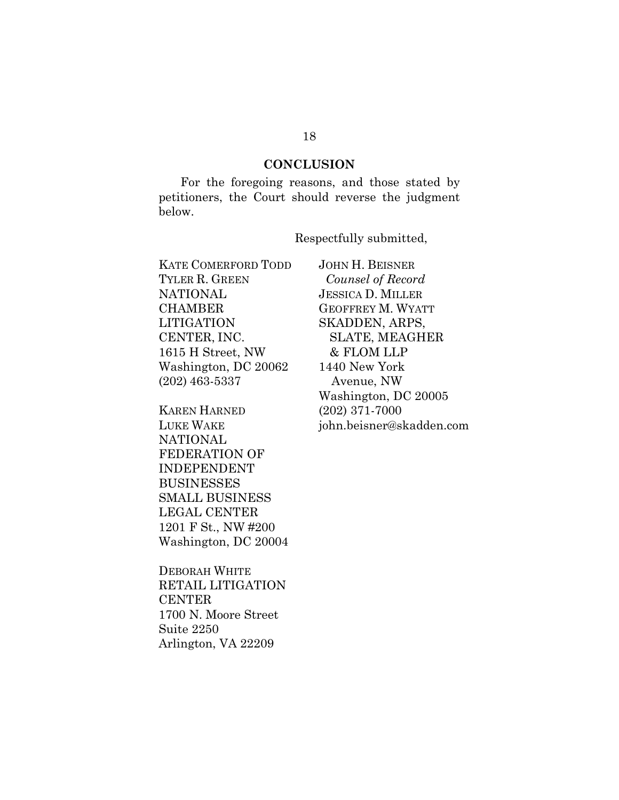#### **CONCLUSION**

For the foregoing reasons, and those stated by petitioners, the Court should reverse the judgment below.

Respectfully submitted,

KATE COMERFORD TODD TYLER R. GREEN NATIONAL **CHAMBER** LITIGATION CENTER, INC. 1615 H Street, NW Washington, DC 20062 (202) 463-5337

KAREN HARNED LUKE WAKE **NATIONAL** FEDERATION OF INDEPENDENT BUSINESSES SMALL BUSINESS LEGAL CENTER 1201 F St., NW #200 Washington, DC 20004

DEBORAH WHITE RETAIL LITIGATION **CENTER** 1700 N. Moore Street Suite 2250 Arlington, VA 22209

JOHN H. BEISNER *Counsel of Record* JESSICA D. MILLER GEOFFREY M. WYATT SKADDEN, ARPS, SLATE, MEAGHER & FLOM LLP 1440 New York Avenue, NW Washington, DC 20005 (202) 371-7000 john.beisner@skadden.com